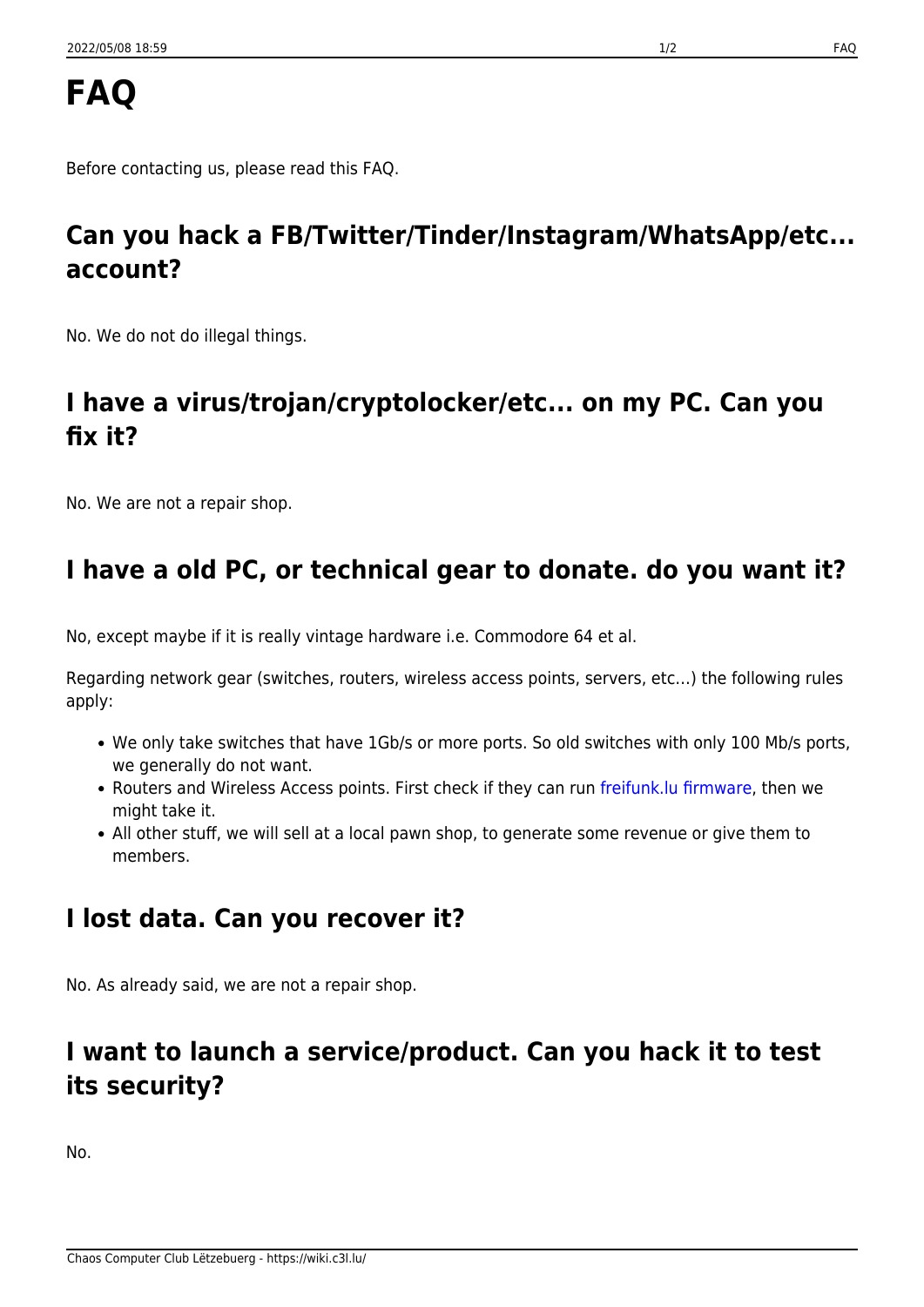# **FAQ**

Before contacting us, please read this FAQ.

# **Can you hack a FB/Twitter/Tinder/Instagram/WhatsApp/etc... account?**

No. We do not do illegal things.

## **I have a virus/trojan/cryptolocker/etc... on my PC. Can you fix it?**

No. We are not a repair shop.

## **I have a old PC, or technical gear to donate. do you want it?**

No, except maybe if it is really vintage hardware i.e. Commodore 64 et al.

Regarding network gear (switches, routers, wireless access points, servers, etc…) the following rules apply:

- We only take switches that have 1Gb/s or more ports. So old switches with only 100 Mb/s ports, we generally do not want.
- Routers and Wireless Access points. First check if they can run freifunk. Iu firmware, then we might take it.
- All other stuff, we will sell at a local pawn shop, to generate some revenue or give them to members.

## **I lost data. Can you recover it?**

No. As already said, we are not a repair shop.

#### **I want to launch a service/product. Can you hack it to test its security?**

No.